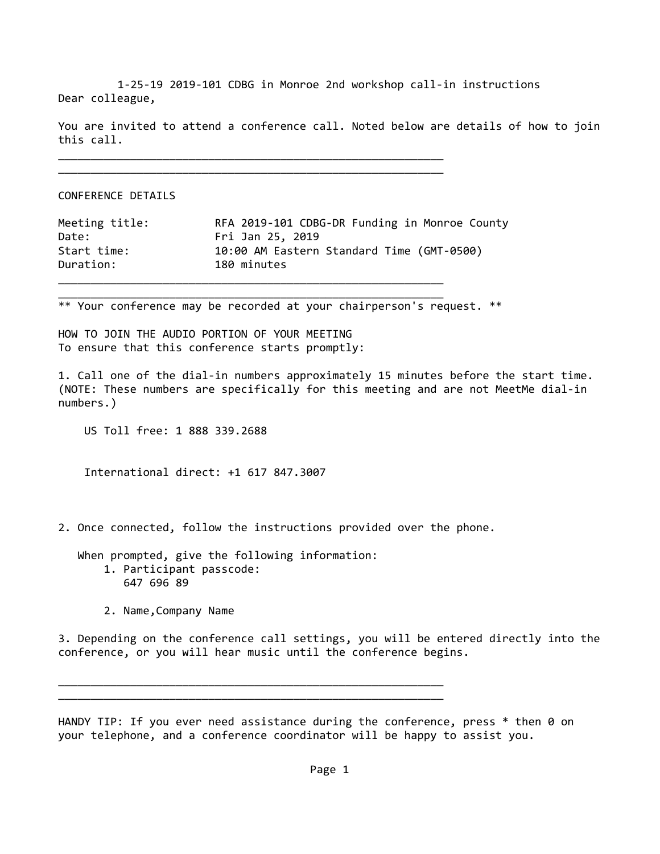1‐25‐19 2019‐101 CDBG in Monroe 2nd workshop call‐in instructions Dear colleague,

You are invited to attend a conference call. Noted below are details of how to join this call.

\_\_\_\_\_\_\_\_\_\_\_\_\_\_\_\_\_\_\_\_\_\_\_\_\_\_\_\_\_\_\_\_\_\_\_\_\_\_\_\_\_\_\_\_\_\_\_\_\_\_\_\_\_\_\_\_\_\_\_

\_\_\_\_\_\_\_\_\_\_\_\_\_\_\_\_\_\_\_\_\_\_\_\_\_\_\_\_\_\_\_\_\_\_\_\_\_\_\_\_\_\_\_\_\_\_\_\_\_\_\_\_\_\_\_\_\_\_\_

\_\_\_\_\_\_\_\_\_\_\_\_\_\_\_\_\_\_\_\_\_\_\_\_\_\_\_\_\_\_\_\_\_\_\_\_\_\_\_\_\_\_\_\_\_\_\_\_\_\_\_\_\_\_\_\_\_\_\_

CONFERENCE DETAILS

| Meeting title: | RFA 2019-101 CDBG-DR Funding in Monroe County |
|----------------|-----------------------------------------------|
| Date:          | Fri Jan 25, 2019                              |
| Start time:    | 10:00 AM Eastern Standard Time (GMT-0500)     |
| Duration:      | 180 minutes                                   |
|                |                                               |

\*\* Your conference may be recorded at your chairperson's request. \*\*

HOW TO JOIN THE AUDIO PORTION OF YOUR MEETING To ensure that this conference starts promptly:

1. Call one of the dial‐in numbers approximately 15 minutes before the start time. (NOTE: These numbers are specifically for this meeting and are not MeetMe dial‐in numbers.)

US Toll free: 1 888 339.2688

International direct: +1 617 847.3007

2. Once connected, follow the instructions provided over the phone.

 When prompted, give the following information: 1. Participant passcode: 647 696 89

\_\_\_\_\_\_\_\_\_\_\_\_\_\_\_\_\_\_\_\_\_\_\_\_\_\_\_\_\_\_\_\_\_\_\_\_\_\_\_\_\_\_\_\_\_\_\_\_\_\_\_\_\_\_\_\_\_\_\_ \_\_\_\_\_\_\_\_\_\_\_\_\_\_\_\_\_\_\_\_\_\_\_\_\_\_\_\_\_\_\_\_\_\_\_\_\_\_\_\_\_\_\_\_\_\_\_\_\_\_\_\_\_\_\_\_\_\_\_

2. Name,Company Name

3. Depending on the conference call settings, you will be entered directly into the conference, or you will hear music until the conference begins.

HANDY TIP: If you ever need assistance during the conference, press  $*$  then 0 on your telephone, and a conference coordinator will be happy to assist you.